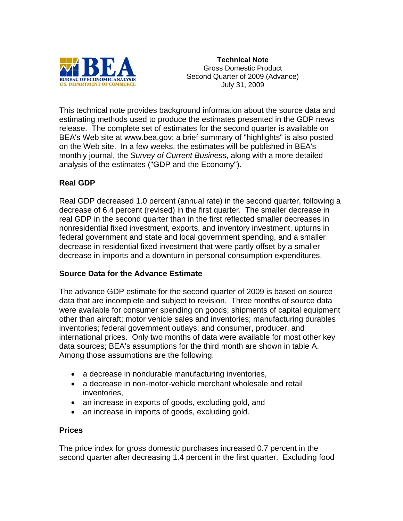

**Technical Note**  Gross Domestic Product Second Quarter of 2009 (Advance) July 31, 2009

This technical note provides background information about the source data and estimating methods used to produce the estimates presented in the GDP news release. The complete set of estimates for the second quarter is available on BEA's Web site at www.bea.gov; a brief summary of "highlights" is also posted on the Web site. In a few weeks, the estimates will be published in BEA's monthly journal, the *Survey of Current Business*, along with a more detailed analysis of the estimates ("GDP and the Economy").

# **Real GDP**

Real GDP decreased 1.0 percent (annual rate) in the second quarter, following a decrease of 6.4 percent (revised) in the first quarter. The smaller decrease in real GDP in the second quarter than in the first reflected smaller decreases in nonresidential fixed investment, exports, and inventory investment, upturns in federal government and state and local government spending, and a smaller decrease in residential fixed investment that were partly offset by a smaller decrease in imports and a downturn in personal consumption expenditures.

#### **Source Data for the Advance Estimate**

The advance GDP estimate for the second quarter of 2009 is based on source data that are incomplete and subject to revision. Three months of source data were available for consumer spending on goods; shipments of capital equipment other than aircraft; motor vehicle sales and inventories; manufacturing durables inventories; federal government outlays; and consumer, producer, and international prices. Only two months of data were available for most other key data sources; BEA's assumptions for the third month are shown in table A. Among those assumptions are the following:

- a decrease in nondurable manufacturing inventories,
- a decrease in non-motor-vehicle merchant wholesale and retail inventories,
- an increase in exports of goods, excluding gold, and
- an increase in imports of goods, excluding gold.

#### **Prices**

The price index for gross domestic purchases increased 0.7 percent in the second quarter after decreasing 1.4 percent in the first quarter. Excluding food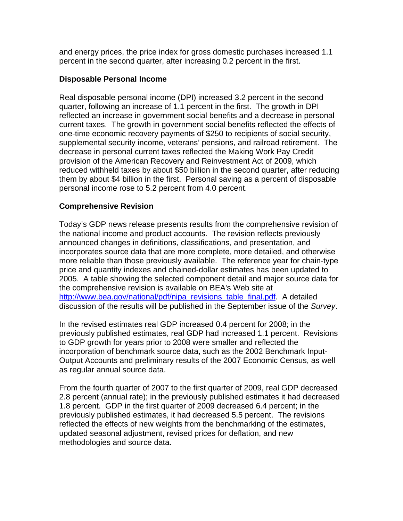and energy prices, the price index for gross domestic purchases increased 1.1 percent in the second quarter, after increasing 0.2 percent in the first.

### **Disposable Personal Income**

Real disposable personal income (DPI) increased 3.2 percent in the second quarter, following an increase of 1.1 percent in the first. The growth in DPI reflected an increase in government social benefits and a decrease in personal current taxes. The growth in government social benefits reflected the effects of one-time economic recovery payments of \$250 to recipients of social security, supplemental security income, veterans' pensions, and railroad retirement. The decrease in personal current taxes reflected the Making Work Pay Credit provision of the American Recovery and Reinvestment Act of 2009, which reduced withheld taxes by about \$50 billion in the second quarter, after reducing them by about \$4 billion in the first. Personal saving as a percent of disposable personal income rose to 5.2 percent from 4.0 percent.

## **Comprehensive Revision**

Today's GDP news release presents results from the comprehensive revision of the national income and product accounts. The revision reflects previously announced changes in definitions, classifications, and presentation, and incorporates source data that are more complete, more detailed, and otherwise more reliable than those previously available. The reference year for chain-type price and quantity indexes and chained-dollar estimates has been updated to 2005. A table showing the selected component detail and major source data for the comprehensive revision is available on BEA's Web site at [http://www.bea.gov/national/pdf/nipa\\_revisions\\_table\\_final.pdf.](http://www.bea.gov/national/pdf/nipa_revisions_table_final.pdf) A detailed discussion of the results will be published in the September issue of the *Survey*.

In the revised estimates real GDP increased 0.4 percent for 2008; in the previously published estimates, real GDP had increased 1.1 percent. Revisions to GDP growth for years prior to 2008 were smaller and reflected the incorporation of benchmark source data, such as the 2002 Benchmark Input-Output Accounts and preliminary results of the 2007 Economic Census, as well as regular annual source data.

From the fourth quarter of 2007 to the first quarter of 2009, real GDP decreased 2.8 percent (annual rate); in the previously published estimates it had decreased 1.8 percent. GDP in the first quarter of 2009 decreased 6.4 percent; in the previously published estimates, it had decreased 5.5 percent. The revisions reflected the effects of new weights from the benchmarking of the estimates, updated seasonal adjustment, revised prices for deflation, and new methodologies and source data.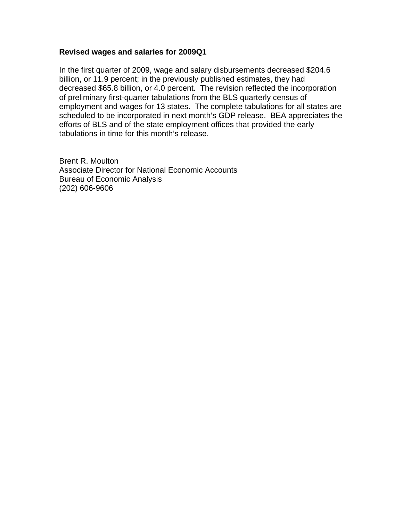#### **Revised wages and salaries for 2009Q1**

In the first quarter of 2009, wage and salary disbursements decreased \$204.6 billion, or 11.9 percent; in the previously published estimates, they had decreased \$65.8 billion, or 4.0 percent. The revision reflected the incorporation of preliminary first-quarter tabulations from the BLS quarterly census of employment and wages for 13 states. The complete tabulations for all states are scheduled to be incorporated in next month's GDP release. BEA appreciates the efforts of BLS and of the state employment offices that provided the early tabulations in time for this month's release.

Brent R. Moulton Associate Director for National Economic Accounts Bureau of Economic Analysis (202) 606-9606